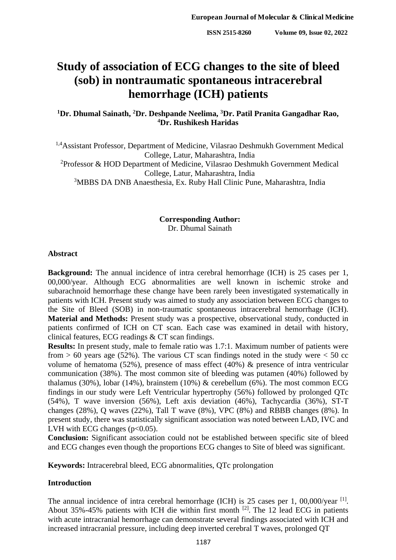# **Study of association of ECG changes to the site of bleed (sob) in nontraumatic spontaneous intracerebral hemorrhage (ICH) patients**

# <sup>1</sup>Dr. Dhumal Sainath, <sup>2</sup>Dr. Deshpande Neelima, <sup>3</sup>Dr. Patil Pranita Gangadhar Rao, **<sup>4</sup>Dr. Rushikesh Haridas**

1,4Assistant Professor, Department of Medicine, Vilasrao Deshmukh Government Medical College, Latur, Maharashtra, India <sup>2</sup>Professor & HOD Department of Medicine, Vilasrao Deshmukh Government Medical College, Latur, Maharashtra, India <sup>3</sup>MBBS DA DNB Anaesthesia, Ex. Ruby Hall Clinic Pune, Maharashtra, India

# **Corresponding Author:** Dr. Dhumal Sainath

#### **Abstract**

**Background:** The annual incidence of intra cerebral hemorrhage (ICH) is 25 cases per 1, 00,000/year. Although ECG abnormalities are well known in ischemic stroke and subarachnoid hemorrhage these change have been rarely been investigated systematically in patients with ICH. Present study was aimed to study any association between ECG changes to the Site of Bleed (SOB) in non-traumatic spontaneous intracerebral hemorrhage (ICH). **Material and Methods:** Present study was a prospective, observational study, conducted in patients confirmed of ICH on CT scan. Each case was examined in detail with history, clinical features, ECG readings & CT scan findings.

**Results:** In present study, male to female ratio was 1.7:1. Maximum number of patients were from  $> 60$  years age (52%). The various CT scan findings noted in the study were  $< 50$  cc volume of hematoma (52%), presence of mass effect (40%) & presence of intra ventricular communication (38%). The most common site of bleeding was putamen (40%) followed by thalamus (30%), lobar (14%), brainstem (10%)  $\&$  cerebellum (6%). The most common ECG findings in our study were Left Ventricular hypertrophy (56%) followed by prolonged QTc (54%), T wave inversion (56%), Left axis deviation (46%), Tachycardia (36%), ST-T changes (28%), Q waves (22%), Tall T wave (8%), VPC (8%) and RBBB changes (8%). In present study, there was statistically significant association was noted between LAD, IVC and LVH with ECG changes  $(p<0.05)$ .

**Conclusion:** Significant association could not be established between specific site of bleed and ECG changes even though the proportions ECG changes to Site of bleed was significant.

**Keywords:** Intracerebral bleed, ECG abnormalities, QTc prolongation

# **Introduction**

The annual incidence of intra cerebral hemorrhage (ICH) is 25 cases per 1, 00,000/year  $^{[1]}$ . About 35%-45% patients with ICH die within first month  $^{[2]}$ . The 12 lead ECG in patients with acute intracranial hemorrhage can demonstrate several findings associated with ICH and increased intracranial pressure, including deep inverted cerebral T waves, prolonged QT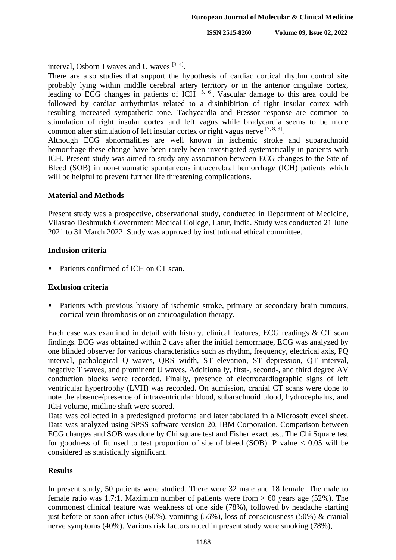**ISSN 2515-8260 Volume 09, Issue 02, 2022**

interval, Osborn J waves and U waves [3, 4].

There are also studies that support the hypothesis of cardiac cortical rhythm control site probably lying within middle cerebral artery territory or in the anterior cingulate cortex, leading to ECG changes in patients of ICH  $[5, 6]$ . Vascular damage to this area could be followed by cardiac arrhythmias related to a disinhibition of right insular cortex with resulting increased sympathetic tone. Tachycardia and Pressor response are common to stimulation of right insular cortex and left vagus while bradycardia seems to be more common after stimulation of left insular cortex or right vagus nerve  $[7, 8, 9]$ .

Although ECG abnormalities are well known in ischemic stroke and subarachnoid hemorrhage these change have been rarely been investigated systematically in patients with ICH. Present study was aimed to study any association between ECG changes to the Site of Bleed (SOB) in non-traumatic spontaneous intracerebral hemorrhage (ICH) patients which will be helpful to prevent further life threatening complications.

## **Material and Methods**

Present study was a prospective, observational study, conducted in Department of Medicine, Vilasrao Deshmukh Government Medical College, Latur, India. Study was conducted 21 June 2021 to 31 March 2022. Study was approved by institutional ethical committee.

## **Inclusion criteria**

Patients confirmed of ICH on CT scan.

#### **Exclusion criteria**

**Patients with previous history of ischemic stroke, primary or secondary brain tumours,** cortical vein thrombosis or on anticoagulation therapy.

Each case was examined in detail with history, clinical features, ECG readings & CT scan findings. ECG was obtained within 2 days after the initial hemorrhage, ECG was analyzed by one blinded observer for various characteristics such as rhythm, frequency, electrical axis, PQ interval, pathological Q waves, QRS width, ST elevation, ST depression, QT interval, negative T waves, and prominent U waves. Additionally, first-, second-, and third degree AV conduction blocks were recorded. Finally, presence of electrocardiographic signs of left ventricular hypertrophy (LVH) was recorded. On admission, cranial CT scans were done to note the absence/presence of intraventricular blood, subarachnoid blood, hydrocephalus, and ICH volume, midline shift were scored.

Data was collected in a predesigned proforma and later tabulated in a Microsoft excel sheet. Data was analyzed using SPSS software version 20, IBM Corporation. Comparison between ECG changes and SOB was done by Chi square test and Fisher exact test. The Chi Square test for goodness of fit used to test proportion of site of bleed (SOB). P value  $< 0.05$  will be considered as statistically significant.

# **Results**

In present study, 50 patients were studied. There were 32 male and 18 female. The male to female ratio was 1.7:1. Maximum number of patients were from  $> 60$  years age (52%). The commonest clinical feature was weakness of one side (78%), followed by headache starting just before or soon after ictus (60%), vomiting (56%), loss of consciousness (50%)  $\&$  cranial nerve symptoms (40%). Various risk factors noted in present study were smoking (78%),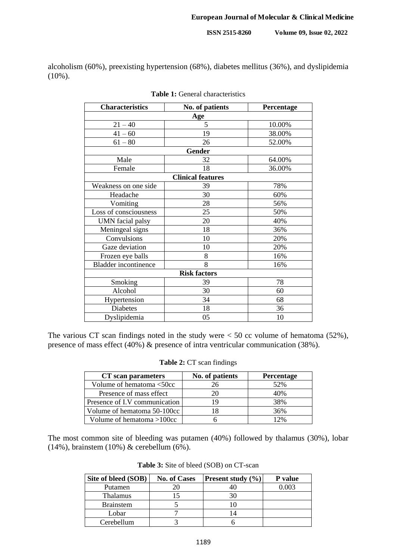**ISSN 2515-8260 Volume 09, Issue 02, 2022**

alcoholism (60%), preexisting hypertension (68%), diabetes mellitus (36%), and dyslipidemia (10%).

| <b>Characteristics</b>      | No. of patients          | Percentage |  |  |  |
|-----------------------------|--------------------------|------------|--|--|--|
| Age                         |                          |            |  |  |  |
| $21 - 40$                   | 5                        | 10.00%     |  |  |  |
| $41 - 60$                   | 19                       | 38.00%     |  |  |  |
| $61 - 80$                   | 26                       | 52.00%     |  |  |  |
| <b>Gender</b>               |                          |            |  |  |  |
| Male                        | 32                       | 64.00%     |  |  |  |
| Female                      | 18                       | 36.00%     |  |  |  |
|                             | <b>Clinical features</b> |            |  |  |  |
| Weakness on one side        | 39                       | 78%        |  |  |  |
| Headache                    | 30                       | 60%        |  |  |  |
| Vomiting                    | 28                       | 56%        |  |  |  |
| Loss of consciousness       | 25                       | 50%        |  |  |  |
| UMN facial palsy            | 20                       | 40%        |  |  |  |
| Meningeal signs             | 18                       | 36%        |  |  |  |
| Convulsions                 | 10                       | 20%        |  |  |  |
| Gaze deviation              | 10                       | 20%        |  |  |  |
| Frozen eye balls            | 8                        | 16%        |  |  |  |
| <b>Bladder</b> incontinence | 8                        | 16%        |  |  |  |
| <b>Risk factors</b>         |                          |            |  |  |  |
| Smoking                     | 39                       | 78         |  |  |  |
| Alcohol                     | 30                       | 60         |  |  |  |
| Hypertension                | 34                       | 68         |  |  |  |
| Diabetes                    | 18                       | 36         |  |  |  |
| Dyslipidemia                | 05                       | 10         |  |  |  |

| Table 1: General characteristics |  |
|----------------------------------|--|
|----------------------------------|--|

The various CT scan findings noted in the study were  $<$  50 cc volume of hematoma (52%), presence of mass effect (40%) & presence of intra ventricular communication (38%).

| <b>Table 2: CT</b> scan findings |  |  |
|----------------------------------|--|--|
|----------------------------------|--|--|

| CT scan parameters            | No. of patients | Percentage |  |  |
|-------------------------------|-----------------|------------|--|--|
| Volume of hematoma <50cc      |                 | 52%        |  |  |
| Presence of mass effect       |                 | 40%        |  |  |
| Presence of I.V communication |                 | 38%        |  |  |
| Volume of hematoma 50-100cc   | 18              | 36%        |  |  |
| Volume of hematoma $>100$ cc  |                 | 12%        |  |  |

The most common site of bleeding was putamen (40%) followed by thalamus (30%), lobar (14%), brainstem (10%) & cerebellum (6%).

| Site of bleed (SOB) | <b>No. of Cases</b> | <b>Present study</b> $(\% )$ | P value |
|---------------------|---------------------|------------------------------|---------|
| Putamen             |                     |                              | 0.003   |
| <b>Thalamus</b>     |                     |                              |         |
| <b>Brainstem</b>    |                     |                              |         |
| Lobar               |                     |                              |         |
| Cerebellum          |                     |                              |         |

**Table 3:** Site of bleed (SOB) on CT-scan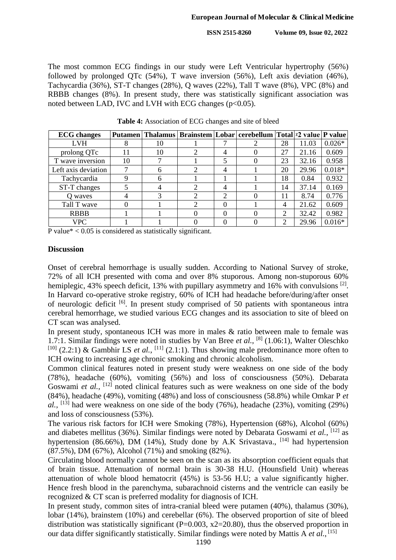The most common ECG findings in our study were Left Ventricular hypertrophy (56%) followed by prolonged QTc (54%), T wave inversion (56%), Left axis deviation (46%), Tachycardia (36%), ST-T changes (28%), Q waves (22%), Tall T wave (8%), VPC (8%) and RBBB changes (8%). In present study, there was statistically significant association was noted between LAD, IVC and LVH with ECG changes ( $p<0.05$ ).

| <b>ECG</b> changes  |    |    |                             |   | Putamen   Thalamus   Brainstem   Lobar   cerebellum   Total   12 value   P value |    |       |          |
|---------------------|----|----|-----------------------------|---|----------------------------------------------------------------------------------|----|-------|----------|
| <b>LVH</b>          |    | 10 |                             |   |                                                                                  | 28 | 11.03 | $0.026*$ |
| prolong QTc         | 11 | 10 |                             | 4 |                                                                                  | 27 | 21.16 | 0.609    |
| T wave inversion    | 10 |    |                             |   |                                                                                  | 23 | 32.16 | 0.958    |
| Left axis deviation |    | 6  | ∍                           | 4 |                                                                                  | 20 | 29.96 | $0.018*$ |
| Tachycardia         |    | 6  |                             |   |                                                                                  | 18 | 0.84  | 0.932    |
| ST-T changes        |    |    | $\mathcal{D}_{\mathcal{A}}$ | 4 |                                                                                  | 14 | 37.14 | 0.169    |
| O waves             |    |    |                             | 2 |                                                                                  | 11 | 8.74  | 0.776    |
| Tall T wave         |    |    |                             | 0 |                                                                                  |    | 21.62 | 0.609    |
| <b>RBBB</b>         |    |    |                             | 0 |                                                                                  |    | 32.42 | 0.982    |
| <b>VPC</b>          |    |    |                             |   |                                                                                  | ∍  | 29.96 | $0.016*$ |

**Table 4:** Association of ECG changes and site of bleed

P value $* < 0.05$  is considered as statistically significant.

## **Discussion**

Onset of cerebral hemorrhage is usually sudden. According to National Survey of stroke, 72% of all ICH presented with coma and over 8% stuporous. Among non-stuporous 60% hemiplegic, 43% speech deficit, 13% with pupillary asymmetry and 16% with convulsions <sup>[2]</sup>. In Harvard co-operative stroke registry, 60% of ICH had headache before/during/after onset of neurologic deficit <sup>[6]</sup>. In present study comprised of 50 patients with spontaneous intra cerebral hemorrhage, we studied various ECG changes and its association to site of bleed on CT scan was analysed.

In present study, spontaneous ICH was more in males & ratio between male to female was 1.7:1. Similar findings were noted in studies by Van Bree *et al.*, [8] (1.06:1), Walter Oleschko <sup>[10]</sup> (2.2:1) & Gambhir LS *et al.*, <sup>[11]</sup> (2.1:1). Thus showing male predominance more often to ICH owing to increasing age chronic smoking and chronic alcoholism.

Common clinical features noted in present study were weakness on one side of the body (78%), headache (60%), vomiting (56%) and loss of consciousness (50%). Debarata Goswami et al., <sup>[12]</sup> noted clinical features such as were weakness on one side of the body (84%), headache (49%), vomiting (48%) and loss of consciousness (58.8%) while Omkar P *et*   $al$ , <sup>[13]</sup> had were weakness on one side of the body (76%), headache (23%), vomiting (29%) and loss of consciousness (53%).

The various risk factors for ICH were Smoking (78%), Hypertension (68%), Alcohol (60%) and diabetes mellitus (36%). Similar findings were noted by Debarata Goswami et al., <sup>[12]</sup> as hypertension (86.66%), DM (14%), Study done by A.K Srivastava.,  $[14]$  had hypertension (87.5%), DM (67%), Alcohol (71%) and smoking (82%).

Circulating blood normally cannot be seen on the scan as its absorption coefficient equals that of brain tissue. Attenuation of normal brain is 30-38 H.U. (Hounsfield Unit) whereas attenuation of whole blood hematocrit (45%) is 53-56 H.U; a value significantly higher. Hence fresh blood in the parenchyma, subarachnoid cisterns and the ventricle can easily be recognized & CT scan is preferred modality for diagnosis of ICH.

In present study, common sites of intra-cranial bleed were putamen (40%), thalamus (30%), lobar (14%), brainstem (10%) and cerebellar (6%). The observed proportion of site of bleed distribution was statistically significant ( $P=0.003$ ,  $x2=20.80$ ), thus the observed proportion in our data differ significantly statistically. Similar findings were noted by Mattis A *et al.*, [15]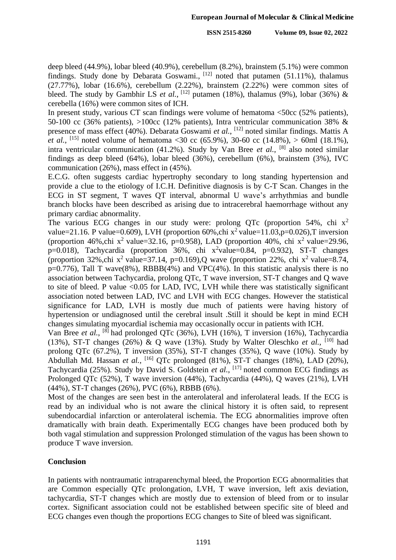deep bleed (44.9%), lobar bleed (40.9%), cerebellum (8.2%), brainstem (5.1%) were common findings. Study done by Debarata Goswami.,  $^{[12]}$  noted that putamen (51.11%), thalamus  $(27.77%)$ , lobar  $(16.6%)$ , cerebellum  $(2.22%)$ , brainstem  $(2.22%)$  were common sites of bleed. The study by Gambhir LS *et al.*, <sup>[12]</sup> putamen (18%), thalamus (9%), lobar (36%) & cerebella (16%) were common sites of ICH.

In present study, various CT scan findings were volume of hematoma <50cc (52% patients), 50-100 cc (36% patients), >100cc (12% patients), Intra ventricular communication 38% & presence of mass effect (40%). Debarata Goswami *et al.*, [12] noted similar findings. Mattis A *et al.*, <sup>[15]</sup> noted volume of hematoma <30 cc (65.9%), 30-60 cc (14.8%), > 60ml (18.1%), intra ventricular communication (41.2%). Study by Van Bree *et al.*, [8] also noted similar findings as deep bleed (64%), lobar bleed (36%), cerebellum (6%), brainstem (3%), IVC communication (26%), mass effect in (45%).

E.C.G. often suggests cardiac hypertrophy secondary to long standing hypertension and provide a clue to the etiology of I.C.H. Definitive diagnosis is by C-T Scan. Changes in the ECG in ST segment, T waves QT interval, abnormal U wave's arrhythmias and bundle branch blocks have been described as arising due to intracerebral haemorrhage without any primary cardiac abnormality.

The various ECG changes in our study were: prolong OTc (proportion 54%, chi  $x^2$ ) value=21.16. P value=0.609), LVH (proportion  $60\%$ , chi x<sup>2</sup> value=11.03, p=0.026), T inversion (proportion 46%, chi x<sup>2</sup> value=32.16, p=0.958), LAD (proportion 40%, chi x<sup>2</sup> value=29.96, p=0.018), Tachycardia (proportion  $36\%$ , chi x<sup>2</sup>value=0.84, p=0.932), ST-T changes (proportion 32%, chi x<sup>2</sup> value=37.14, p=0.169),Q wave (proportion 22%, chi x<sup>2</sup> value=8.74,  $p=0.776$ ), Tall T wave(8%), RBBB(4%) and VPC(4%). In this statistic analysis there is no association between Tachycardia, prolong QTc, T wave inversion, ST-T changes and Q wave to site of bleed. P value <0.05 for LAD, IVC, LVH while there was statistically significant association noted between LAD, IVC and LVH with ECG changes. However the statistical significance for LAD, LVH is mostly due much of patients were having history of hypertension or undiagnosed until the cerebral insult .Still it should be kept in mind ECH changes simulating myocardial ischemia may occasionally occur in patients with ICH.

Van Bree et al., <sup>[8]</sup> had prolonged QTc (36%), LVH (16%), T inversion (16%), Tachycardia (13%), ST-T changes (26%) & Q wave (13%). Study by Walter Oleschko *et al.*, <sup>[10]</sup> had prolong QTc (67.2%), T inversion (35%), ST-T changes (35%), Q wave (10%). Study by Abdullah Md. Hassan *et al.*, <sup>[16]</sup> QTc prolonged (81%), ST-T changes (18%), LAD (20%), Tachycardia (25%). Study by David S. Goldstein *et al.*, [17] noted common ECG findings as Prolonged QTc (52%), T wave inversion (44%), Tachycardia (44%), Q waves (21%), LVH (44%), ST-T changes (26%), PVC (6%), RBBB (6%).

Most of the changes are seen best in the anterolateral and inferolateral leads. If the ECG is read by an individual who is not aware the clinical history it is often said, to represent subendocardial infarction or anterolateral ischemia. The ECG abnormalities improve often dramatically with brain death. Experimentally ECG changes have been produced both by both vagal stimulation and suppression Prolonged stimulation of the vagus has been shown to produce T wave inversion.

# **Conclusion**

In patients with nontraumatic intraparenchymal bleed, the Proportion ECG abnormalities that are Common especially QTc prolongation, LVH, T wave inversion, left axis deviation, tachycardia, ST-T changes which are mostly due to extension of bleed from or to insular cortex. Significant association could not be established between specific site of bleed and ECG changes even though the proportions ECG changes to Site of bleed was significant.